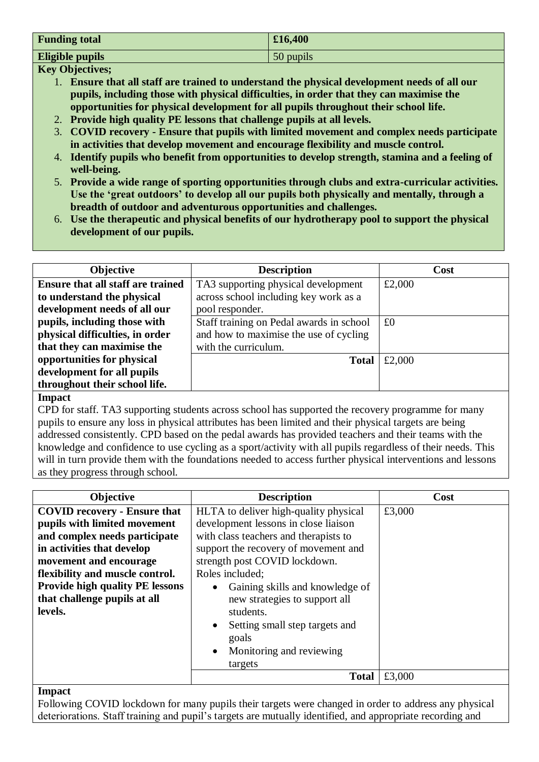| <b>Funding total</b> | £16,400   |
|----------------------|-----------|
| Eligible pupils      | 50 pupils |

**Key Objectives;**

- 1. **Ensure that all staff are trained to understand the physical development needs of all our pupils, including those with physical difficulties, in order that they can maximise the opportunities for physical development for all pupils throughout their school life.**
- 2. **Provide high quality PE lessons that challenge pupils at all levels.**
- 3. **COVID recovery - Ensure that pupils with limited movement and complex needs participate in activities that develop movement and encourage flexibility and muscle control.**
- 4. **Identify pupils who benefit from opportunities to develop strength, stamina and a feeling of well-being.**
- 5. **Provide a wide range of sporting opportunities through clubs and extra-curricular activities. Use the 'great outdoors' to develop all our pupils both physically and mentally, through a breadth of outdoor and adventurous opportunities and challenges.**
- 6. **Use the therapeutic and physical benefits of our hydrotherapy pool to support the physical development of our pupils.**

| Objective                                | <b>Description</b>                       | <b>Cost</b> |
|------------------------------------------|------------------------------------------|-------------|
| <b>Ensure that all staff are trained</b> | TA3 supporting physical development      | £2,000      |
| to understand the physical               | across school including key work as a    |             |
| development needs of all our             | pool responder.                          |             |
| pupils, including those with             | Staff training on Pedal awards in school | £0          |
| physical difficulties, in order          | and how to maximise the use of cycling   |             |
| that they can maximise the               | with the curriculum.                     |             |
| opportunities for physical               | <b>Total</b>                             | £2,000      |
| development for all pupils               |                                          |             |
| throughout their school life.            |                                          |             |

#### **Impact**

CPD for staff. TA3 supporting students across school has supported the recovery programme for many pupils to ensure any loss in physical attributes has been limited and their physical targets are being addressed consistently. CPD based on the pedal awards has provided teachers and their teams with the knowledge and confidence to use cycling as a sport/activity with all pupils regardless of their needs. This will in turn provide them with the foundations needed to access further physical interventions and lessons as they progress through school.

| Objective                              | <b>Description</b>                           | Cost   |
|----------------------------------------|----------------------------------------------|--------|
| <b>COVID recovery - Ensure that</b>    | HLTA to deliver high-quality physical        | £3,000 |
| pupils with limited movement           | development lessons in close liaison         |        |
| and complex needs participate          | with class teachers and therapists to        |        |
| in activities that develop             | support the recovery of movement and         |        |
| movement and encourage                 | strength post COVID lockdown.                |        |
| flexibility and muscle control.        | Roles included;                              |        |
| <b>Provide high quality PE lessons</b> | Gaining skills and knowledge of<br>$\bullet$ |        |
| that challenge pupils at all           | new strategies to support all                |        |
| levels.                                | students.                                    |        |
|                                        | Setting small step targets and<br>$\bullet$  |        |
|                                        | goals                                        |        |
|                                        | Monitoring and reviewing<br>$\bullet$        |        |
|                                        | targets                                      |        |
|                                        | <b>Total</b>                                 | £3,000 |
| Immat                                  |                                              |        |

#### **Impact**

Following COVID lockdown for many pupils their targets were changed in order to address any physical deteriorations. Staff training and pupil's targets are mutually identified, and appropriate recording and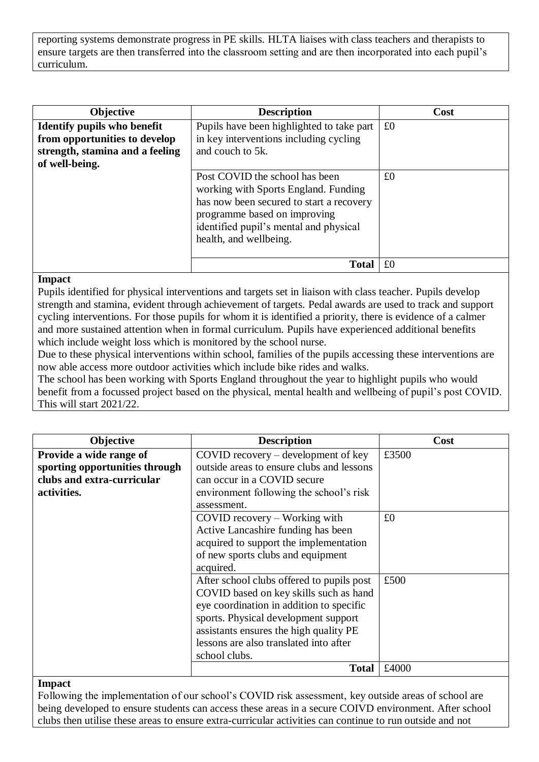reporting systems demonstrate progress in PE skills. HLTA liaises with class teachers and therapists to ensure targets are then transferred into the classroom setting and are then incorporated into each pupil's curriculum.

| <b>Objective</b>                                                    | <b>Description</b>                                                                                                                                                                                                     | Cost |
|---------------------------------------------------------------------|------------------------------------------------------------------------------------------------------------------------------------------------------------------------------------------------------------------------|------|
| <b>Identify pupils who benefit</b><br>from opportunities to develop | Pupils have been highlighted to take part<br>in key interventions including cycling                                                                                                                                    | £0   |
| strength, stamina and a feeling<br>of well-being.                   | and couch to 5k.                                                                                                                                                                                                       |      |
|                                                                     | Post COVID the school has been<br>working with Sports England. Funding<br>has now been secured to start a recovery<br>programme based on improving<br>identified pupil's mental and physical<br>health, and wellbeing. | £0   |
|                                                                     | <b>Total</b>                                                                                                                                                                                                           | £0   |

### **Impact**

Pupils identified for physical interventions and targets set in liaison with class teacher. Pupils develop strength and stamina, evident through achievement of targets. Pedal awards are used to track and support cycling interventions. For those pupils for whom it is identified a priority, there is evidence of a calmer and more sustained attention when in formal curriculum. Pupils have experienced additional benefits which include weight loss which is monitored by the school nurse.

Due to these physical interventions within school, families of the pupils accessing these interventions are now able access more outdoor activities which include bike rides and walks.

The school has been working with Sports England throughout the year to highlight pupils who would benefit from a focussed project based on the physical, mental health and wellbeing of pupil's post COVID. This will start 2021/22.

| Objective                      | <b>Description</b>                        | Cost  |
|--------------------------------|-------------------------------------------|-------|
| Provide a wide range of        | $COVID$ recovery – development of key     | £3500 |
| sporting opportunities through | outside areas to ensure clubs and lessons |       |
| clubs and extra-curricular     | can occur in a COVID secure               |       |
| activities.                    | environment following the school's risk   |       |
|                                | assessment.                               |       |
|                                | $COVID$ recovery $-$ Working with         | £0    |
|                                | Active Lancashire funding has been        |       |
|                                | acquired to support the implementation    |       |
|                                | of new sports clubs and equipment         |       |
|                                | acquired.                                 |       |
|                                | After school clubs offered to pupils post | £500  |
|                                | COVID based on key skills such as hand    |       |
|                                | eye coordination in addition to specific  |       |
|                                | sports. Physical development support      |       |
|                                | assistants ensures the high quality PE    |       |
|                                | lessons are also translated into after    |       |
|                                | school clubs.                             |       |
|                                | <b>Total</b>                              | £4000 |

#### **Impact**

Following the implementation of our school's COVID risk assessment, key outside areas of school are being developed to ensure students can access these areas in a secure COIVD environment. After school clubs then utilise these areas to ensure extra-curricular activities can continue to run outside and not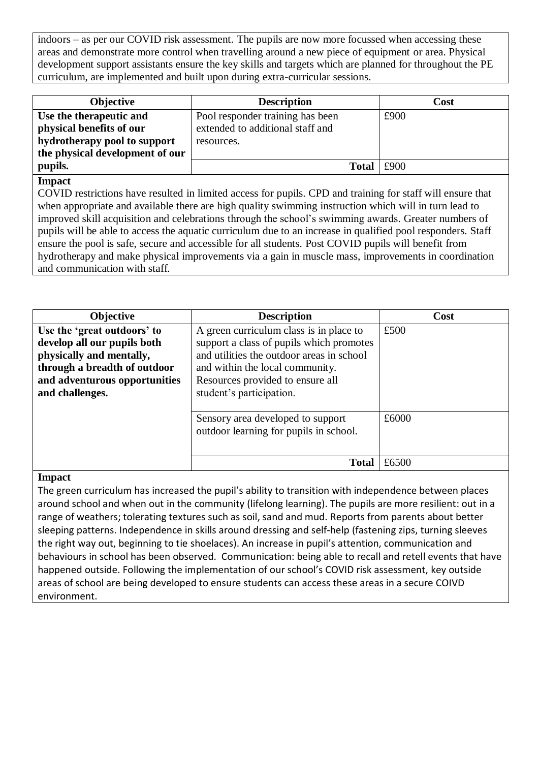indoors – as per our COVID risk assessment. The pupils are now more focussed when accessing these areas and demonstrate more control when travelling around a new piece of equipment or area. Physical development support assistants ensure the key skills and targets which are planned for throughout the PE curriculum, are implemented and built upon during extra-curricular sessions.

| <b>Objective</b>                | <b>Description</b>               | Cost |
|---------------------------------|----------------------------------|------|
| Use the therapeutic and         | Pool responder training has been | £900 |
| physical benefits of our        | extended to additional staff and |      |
| hydrotherapy pool to support    | resources.                       |      |
| the physical development of our |                                  |      |
| pupils.                         | <b>Total</b>                     | £900 |

## **Impact**

COVID restrictions have resulted in limited access for pupils. CPD and training for staff will ensure that when appropriate and available there are high quality swimming instruction which will in turn lead to improved skill acquisition and celebrations through the school's swimming awards. Greater numbers of pupils will be able to access the aquatic curriculum due to an increase in qualified pool responders. Staff ensure the pool is safe, secure and accessible for all students. Post COVID pupils will benefit from hydrotherapy and make physical improvements via a gain in muscle mass, improvements in coordination and communication with staff.

| Objective                                                                                                                                                                  | <b>Description</b>                                                                                                                                                                                                                  | Cost  |
|----------------------------------------------------------------------------------------------------------------------------------------------------------------------------|-------------------------------------------------------------------------------------------------------------------------------------------------------------------------------------------------------------------------------------|-------|
| Use the 'great outdoors' to<br>develop all our pupils both<br>physically and mentally,<br>through a breadth of outdoor<br>and adventurous opportunities<br>and challenges. | A green curriculum class is in place to<br>support a class of pupils which promotes<br>and utilities the outdoor areas in school<br>and within the local community.<br>Resources provided to ensure all<br>student's participation. | £500  |
|                                                                                                                                                                            | Sensory area developed to support<br>outdoor learning for pupils in school.                                                                                                                                                         | £6000 |
|                                                                                                                                                                            | <b>Total</b>                                                                                                                                                                                                                        | £6500 |

## **Impact**

The green curriculum has increased the pupil's ability to transition with independence between places around school and when out in the community (lifelong learning). The pupils are more resilient: out in a range of weathers; tolerating textures such as soil, sand and mud. Reports from parents about better sleeping patterns. Independence in skills around dressing and self-help (fastening zips, turning sleeves the right way out, beginning to tie shoelaces). An increase in pupil's attention, communication and behaviours in school has been observed. Communication: being able to recall and retell events that have happened outside. Following the implementation of our school's COVID risk assessment, key outside areas of school are being developed to ensure students can access these areas in a secure COIVD environment.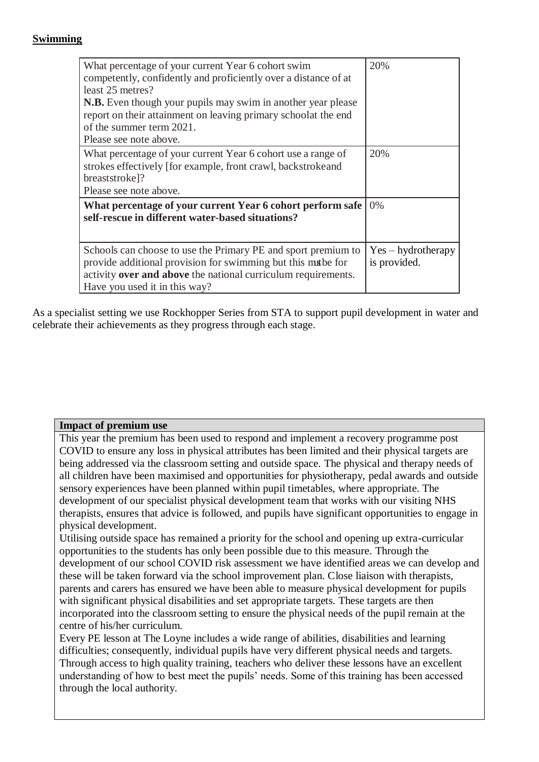## **Swimming**

| What percentage of your current Year 6 cohort swim<br>competently, confidently and proficiently over a distance of at<br>least 25 metres?<br><b>N.B.</b> Even though your pupils may swim in another year please<br>report on their attainment on leaving primary schoolat the end<br>of the summer term 2021.<br>Please see note above. | 20%                                  |
|------------------------------------------------------------------------------------------------------------------------------------------------------------------------------------------------------------------------------------------------------------------------------------------------------------------------------------------|--------------------------------------|
| What percentage of your current Year 6 cohort use a range of<br>strokes effectively [for example, front crawl, backstroke and<br>breaststroke]?<br>Please see note above.                                                                                                                                                                | 20%                                  |
| What percentage of your current Year 6 cohort perform safe<br>self-rescue in different water-based situations?                                                                                                                                                                                                                           | $0\%$                                |
| Schools can choose to use the Primary PE and sport premium to<br>provide additional provision for swimming but this matbe for<br>activity over and above the national curriculum requirements.<br>Have you used it in this way?                                                                                                          | $Yes - hydrotherapy$<br>is provided. |

As a specialist setting we use Rockhopper Series from STA to support pupil development in water and celebrate their achievements as they progress through each stage.

#### **Impact of premium use**

This year the premium has been used to respond and implement a recovery programme post COVID to ensure any loss in physical attributes has been limited and their physical targets are being addressed via the classroom setting and outside space. The physical and therapy needs of all children have been maximised and opportunities for physiotherapy, pedal awards and outside sensory experiences have been planned within pupil timetables, where appropriate. The development of our specialist physical development team that works with our visiting NHS therapists, ensures that advice is followed, and pupils have significant opportunities to engage in physical development.

Utilising outside space has remained a priority for the school and opening up extra-curricular opportunities to the students has only been possible due to this measure. Through the development of our school COVID risk assessment we have identified areas we can develop and these will be taken forward via the school improvement plan. Close liaison with therapists, parents and carers has ensured we have been able to measure physical development for pupils with significant physical disabilities and set appropriate targets. These targets are then incorporated into the classroom setting to ensure the physical needs of the pupil remain at the centre of his/her curriculum.

Every PE lesson at The Loyne includes a wide range of abilities, disabilities and learning difficulties; consequently, individual pupils have very different physical needs and targets. Through access to high quality training, teachers who deliver these lessons have an excellent understanding of how to best meet the pupils' needs. Some of this training has been accessed through the local authority.